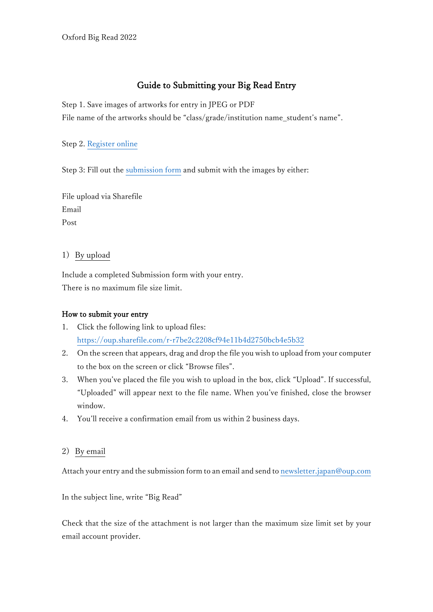## Guide to Submitting your Big Read Entry

Step 1. Save images of artworks for entry in JPEG or PDF

File name of the artworks should be "class/grade/institution name\_student's name".

Step 2[. Register online](https://www.oupjapan.co.jp/en/node/62849/register?language=en)

Step 3: Fill out the [submission form](https://www.oupjapan.co.jp/sites/default/files/contents/campaigns/bigread/2022/BigRead2022_Submission_Form.xlsx) and submit with the images by either:

File upload via Sharefile Email Post

## 1) By upload

Include a completed Submission form with your entry. There is no maximum file size limit.

## How to submit your entry

- 1. Click the following link to upload files: <https://oup.sharefile.com/r-r7be2c2208cf94e11b4d2750bcb4e5b32>
- 2. On the screen that appears, drag and drop the file you wish to upload from your computer to the box on the screen or click "Browse files".
- 3. When you've placed the file you wish to upload in the box, click "Upload". If successful, "Uploaded" will appear next to the file name. When you've finished, close the browser window.
- 4. You'll receive a confirmation email from us within 2 business days.
- 2) By email

Attach your entry and the submission form to an email and send to [newsletter.japan@oup.com](mailto:newsletter.japan@oup.com)

In the subject line, write "Big Read"

Check that the size of the attachment is not larger than the maximum size limit set by your email account provider.